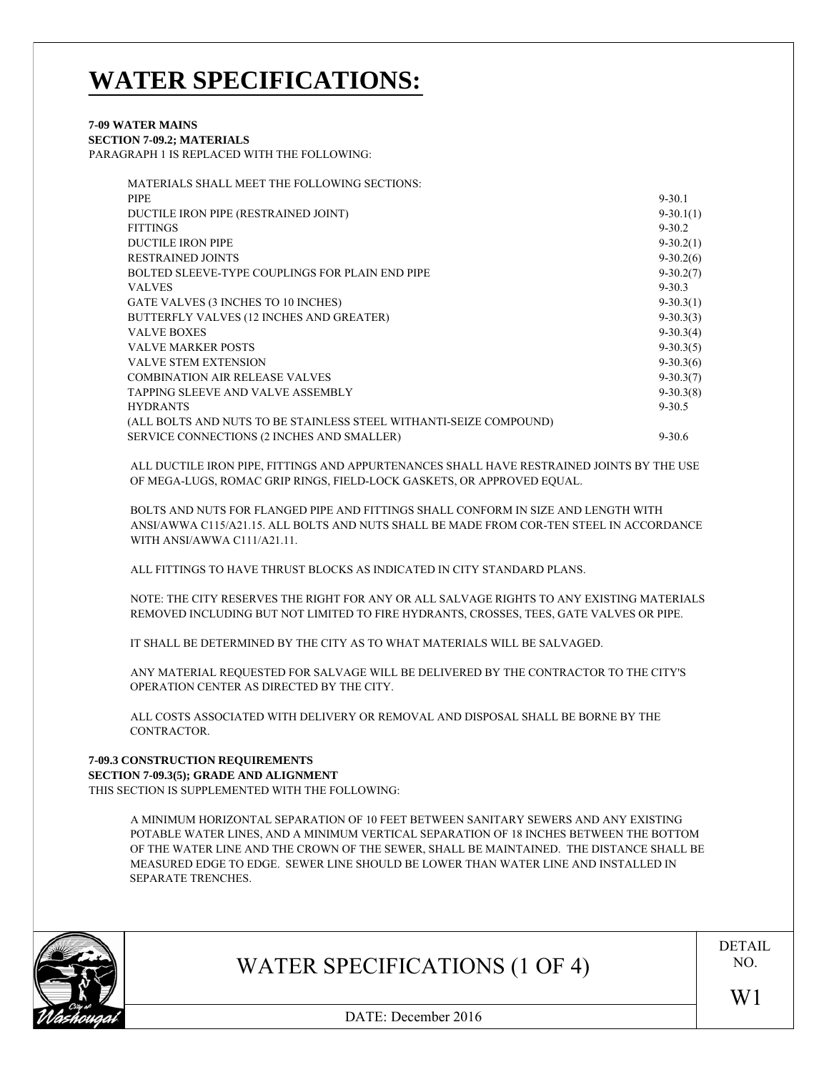# **WATER SPECIFICATIONS:**

## **7-09 WATER MAINS SECTION 7-09.2; MATERIALS**

PARAGRAPH 1 IS REPLACED WITH THE FOLLOWING:

| MATERIALS SHALL MEET THE FOLLOWING SECTIONS:                       |               |
|--------------------------------------------------------------------|---------------|
| <b>PIPE</b>                                                        | $9 - 30.1$    |
| DUCTILE IRON PIPE (RESTRAINED JOINT)                               | $9-30.1(1)$   |
| <b>FITTINGS</b>                                                    | $9 - 30.2$    |
| <b>DUCTILE IRON PIPE</b>                                           | $9 - 30.2(1)$ |
| <b>RESTRAINED JOINTS</b>                                           | $9 - 30.2(6)$ |
| BOLTED SLEEVE-TYPE COUPLINGS FOR PLAIN END PIPE                    | $9-30.2(7)$   |
| <b>VALVES</b>                                                      | $9 - 30.3$    |
| GATE VALVES (3 INCHES TO 10 INCHES)                                | $9 - 30.3(1)$ |
| BUTTERFLY VALVES (12 INCHES AND GREATER)                           | $9 - 30.3(3)$ |
| <b>VALVE BOXES</b>                                                 | $9-30.3(4)$   |
| <b>VALVE MARKER POSTS</b>                                          | $9-30.3(5)$   |
| <b>VALVE STEM EXTENSION</b>                                        | $9-30.3(6)$   |
| <b>COMBINATION AIR RELEASE VALVES</b>                              | $9 - 30.3(7)$ |
| <b>TAPPING SLEEVE AND VALVE ASSEMBLY</b>                           | $9 - 30.3(8)$ |
| <b>HYDRANTS</b>                                                    | $9 - 30.5$    |
| (ALL BOLTS AND NUTS TO BE STAINLESS STEEL WITHANTI-SEIZE COMPOUND) |               |
| SERVICE CONNECTIONS (2 INCHES AND SMALLER)                         | $9 - 30.6$    |

ALL DUCTILE IRON PIPE, FITTINGS AND APPURTENANCES SHALL HAVE RESTRAINED JOINTS BY THE USE OF MEGA-LUGS, ROMAC GRIP RINGS, FIELD-LOCK GASKETS, OR APPROVED EQUAL.

BOLTS AND NUTS FOR FLANGED PIPE AND FITTINGS SHALL CONFORM IN SIZE AND LENGTH WITH ANSI/AWWA C115/A21.15. ALL BOLTS AND NUTS SHALL BE MADE FROM COR-TEN STEEL IN ACCORDANCE WITH ANSI/AWWA C111/A21.11.

ALL FITTINGS TO HAVE THRUST BLOCKS AS INDICATED IN CITY STANDARD PLANS.

NOTE: THE CITY RESERVES THE RIGHT FOR ANY OR ALL SALVAGE RIGHTS TO ANY EXISTING MATERIALS REMOVED INCLUDING BUT NOT LIMITED TO FIRE HYDRANTS, CROSSES, TEES, GATE VALVES OR PIPE.

IT SHALL BE DETERMINED BY THE CITY AS TO WHAT MATERIALS WILL BE SALVAGED.

ANY MATERIAL REQUESTED FOR SALVAGE WILL BE DELIVERED BY THE CONTRACTOR TO THE CITY'S OPERATION CENTER AS DIRECTED BY THE CITY.

ALL COSTS ASSOCIATED WITH DELIVERY OR REMOVAL AND DISPOSAL SHALL BE BORNE BY THE CONTRACTOR.

## **7-09.3 CONSTRUCTION REQUIREMENTS SECTION 7-09.3(5); GRADE AND ALIGNMENT**

THIS SECTION IS SUPPLEMENTED WITH THE FOLLOWING:

A MINIMUM HORIZONTAL SEPARATION OF 10 FEET BETWEEN SANITARY SEWERS AND ANY EXISTING POTABLE WATER LINES, AND A MINIMUM VERTICAL SEPARATION OF 18 INCHES BETWEEN THE BOTTOM OF THE WATER LINE AND THE CROWN OF THE SEWER, SHALL BE MAINTAINED. THE DISTANCE SHALL BE MEASURED EDGE TO EDGE. SEWER LINE SHOULD BE LOWER THAN WATER LINE AND INSTALLED IN SEPARATE TRENCHES.



## WATER SPECIFICATIONS (1 OF 4)

DETAIL NO.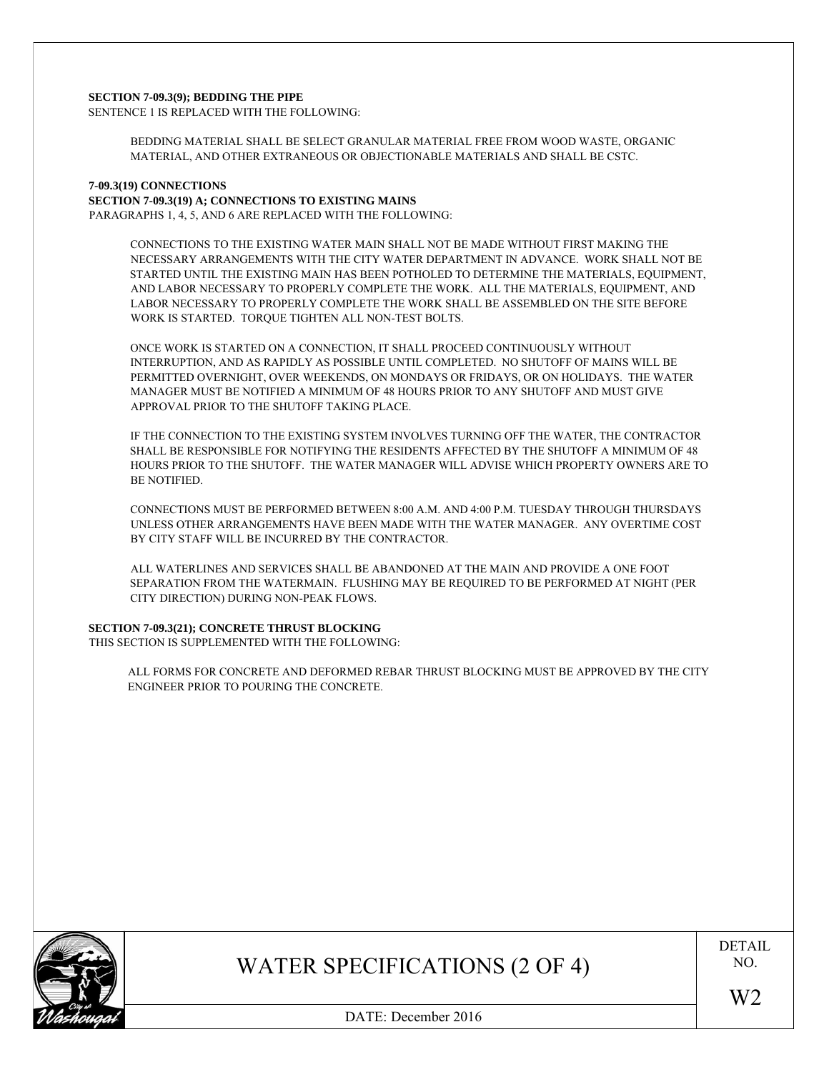#### **SECTION 7-09.3(9); BEDDING THE PIPE**

SENTENCE 1 IS REPLACED WITH THE FOLLOWING:

BEDDING MATERIAL SHALL BE SELECT GRANULAR MATERIAL FREE FROM WOOD WASTE, ORGANIC MATERIAL, AND OTHER EXTRANEOUS OR OBJECTIONABLE MATERIALS AND SHALL BE CSTC.

## **7-09.3(19) CONNECTIONS**

**SECTION 7-09.3(19) A; CONNECTIONS TO EXISTING MAINS**

PARAGRAPHS 1, 4, 5, AND 6 ARE REPLACED WITH THE FOLLOWING:

CONNECTIONS TO THE EXISTING WATER MAIN SHALL NOT BE MADE WITHOUT FIRST MAKING THE NECESSARY ARRANGEMENTS WITH THE CITY WATER DEPARTMENT IN ADVANCE. WORK SHALL NOT BE STARTED UNTIL THE EXISTING MAIN HAS BEEN POTHOLED TO DETERMINE THE MATERIALS, EQUIPMENT, AND LABOR NECESSARY TO PROPERLY COMPLETE THE WORK. ALL THE MATERIALS, EQUIPMENT, AND LABOR NECESSARY TO PROPERLY COMPLETE THE WORK SHALL BE ASSEMBLED ON THE SITE BEFORE WORK IS STARTED. TORQUE TIGHTEN ALL NON-TEST BOLTS.

ONCE WORK IS STARTED ON A CONNECTION, IT SHALL PROCEED CONTINUOUSLY WITHOUT INTERRUPTION, AND AS RAPIDLY AS POSSIBLE UNTIL COMPLETED. NO SHUTOFF OF MAINS WILL BE PERMITTED OVERNIGHT, OVER WEEKENDS, ON MONDAYS OR FRIDAYS, OR ON HOLIDAYS. THE WATER MANAGER MUST BE NOTIFIED A MINIMUM OF 48 HOURS PRIOR TO ANY SHUTOFF AND MUST GIVE APPROVAL PRIOR TO THE SHUTOFF TAKING PLACE.

IF THE CONNECTION TO THE EXISTING SYSTEM INVOLVES TURNING OFF THE WATER, THE CONTRACTOR SHALL BE RESPONSIBLE FOR NOTIFYING THE RESIDENTS AFFECTED BY THE SHUTOFF A MINIMUM OF 48 HOURS PRIOR TO THE SHUTOFF. THE WATER MANAGER WILL ADVISE WHICH PROPERTY OWNERS ARE TO BE NOTIFIED.

CONNECTIONS MUST BE PERFORMED BETWEEN 8:00 A.M. AND 4:00 P.M. TUESDAY THROUGH THURSDAYS UNLESS OTHER ARRANGEMENTS HAVE BEEN MADE WITH THE WATER MANAGER. ANY OVERTIME COST BY CITY STAFF WILL BE INCURRED BY THE CONTRACTOR.

ALL WATERLINES AND SERVICES SHALL BE ABANDONED AT THE MAIN AND PROVIDE A ONE FOOT SEPARATION FROM THE WATERMAIN. FLUSHING MAY BE REQUIRED TO BE PERFORMED AT NIGHT (PER CITY DIRECTION) DURING NON-PEAK FLOWS.

### **SECTION 7-09.3(21); CONCRETE THRUST BLOCKING**

THIS SECTION IS SUPPLEMENTED WITH THE FOLLOWING:

ALL FORMS FOR CONCRETE AND DEFORMED REBAR THRUST BLOCKING MUST BE APPROVED BY THE CITY ENGINEER PRIOR TO POURING THE CONCRETE.



WATER SPECIFICATIONS (2 OF 4)

DETAIL NO.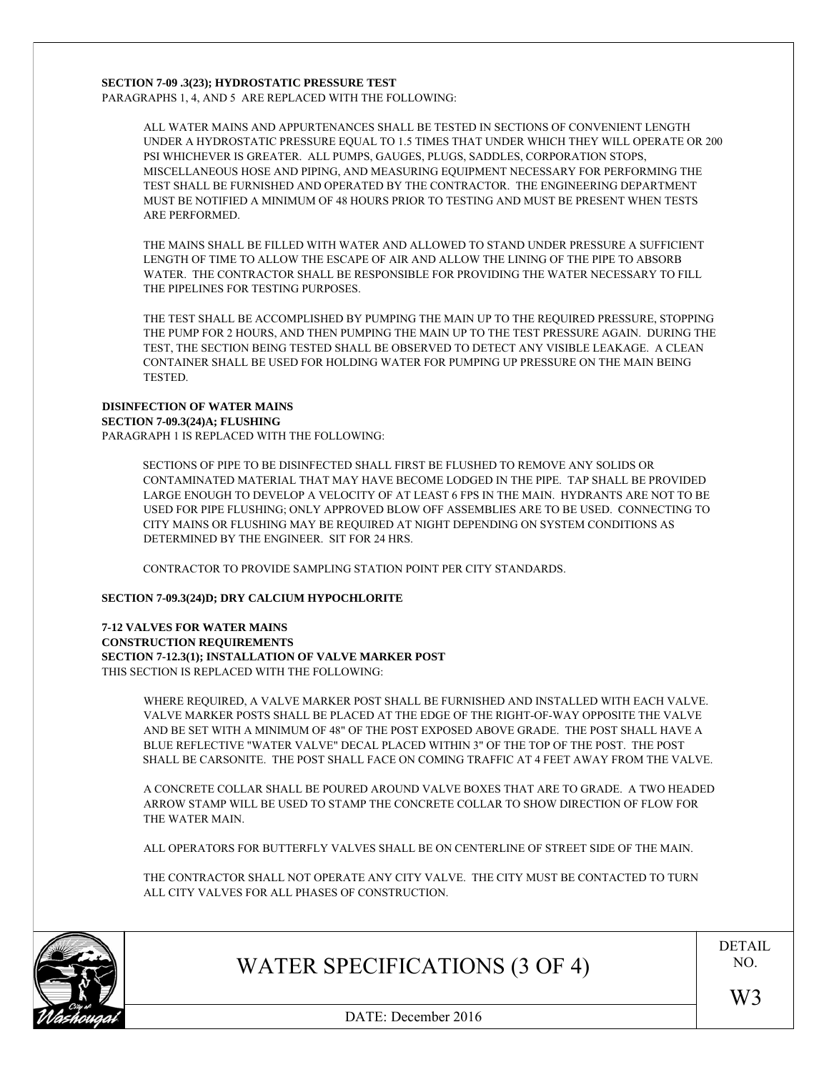### **SECTION 7-09 .3(23); HYDROSTATIC PRESSURE TEST**

PARAGRAPHS 1, 4, AND 5 ARE REPLACED WITH THE FOLLOWING:

ALL WATER MAINS AND APPURTENANCES SHALL BE TESTED IN SECTIONS OF CONVENIENT LENGTH UNDER A HYDROSTATIC PRESSURE EQUAL TO 1.5 TIMES THAT UNDER WHICH THEY WILL OPERATE OR 200 PSI WHICHEVER IS GREATER. ALL PUMPS, GAUGES, PLUGS, SADDLES, CORPORATION STOPS, MISCELLANEOUS HOSE AND PIPING, AND MEASURING EQUIPMENT NECESSARY FOR PERFORMING THE TEST SHALL BE FURNISHED AND OPERATED BY THE CONTRACTOR. THE ENGINEERING DEPARTMENT MUST BE NOTIFIED A MINIMUM OF 48 HOURS PRIOR TO TESTING AND MUST BE PRESENT WHEN TESTS ARE PERFORMED.

THE MAINS SHALL BE FILLED WITH WATER AND ALLOWED TO STAND UNDER PRESSURE A SUFFICIENT LENGTH OF TIME TO ALLOW THE ESCAPE OF AIR AND ALLOW THE LINING OF THE PIPE TO ABSORB WATER. THE CONTRACTOR SHALL BE RESPONSIBLE FOR PROVIDING THE WATER NECESSARY TO FILL THE PIPELINES FOR TESTING PURPOSES.

THE TEST SHALL BE ACCOMPLISHED BY PUMPING THE MAIN UP TO THE REQUIRED PRESSURE, STOPPING THE PUMP FOR 2 HOURS, AND THEN PUMPING THE MAIN UP TO THE TEST PRESSURE AGAIN. DURING THE TEST, THE SECTION BEING TESTED SHALL BE OBSERVED TO DETECT ANY VISIBLE LEAKAGE. A CLEAN CONTAINER SHALL BE USED FOR HOLDING WATER FOR PUMPING UP PRESSURE ON THE MAIN BEING **TESTED.** 

## **DISINFECTION OF WATER MAINS SECTION 7-09.3(24)A; FLUSHING**

PARAGRAPH 1 IS REPLACED WITH THE FOLLOWING:

SECTIONS OF PIPE TO BE DISINFECTED SHALL FIRST BE FLUSHED TO REMOVE ANY SOLIDS OR CONTAMINATED MATERIAL THAT MAY HAVE BECOME LODGED IN THE PIPE. TAP SHALL BE PROVIDED LARGE ENOUGH TO DEVELOP A VELOCITY OF AT LEAST 6 FPS IN THE MAIN. HYDRANTS ARE NOT TO BE USED FOR PIPE FLUSHING; ONLY APPROVED BLOW OFF ASSEMBLIES ARE TO BE USED. CONNECTING TO CITY MAINS OR FLUSHING MAY BE REQUIRED AT NIGHT DEPENDING ON SYSTEM CONDITIONS AS DETERMINED BY THE ENGINEER. SIT FOR 24 HRS.

CONTRACTOR TO PROVIDE SAMPLING STATION POINT PER CITY STANDARDS.

### **SECTION 7-09.3(24)D; DRY CALCIUM HYPOCHLORITE**

**7-12 VALVES FOR WATER MAINS CONSTRUCTION REQUIREMENTS SECTION 7-12.3(1); INSTALLATION OF VALVE MARKER POST** THIS SECTION IS REPLACED WITH THE FOLLOWING:

> WHERE REQUIRED, A VALVE MARKER POST SHALL BE FURNISHED AND INSTALLED WITH EACH VALVE. VALVE MARKER POSTS SHALL BE PLACED AT THE EDGE OF THE RIGHT-OF-WAY OPPOSITE THE VALVE AND BE SET WITH A MINIMUM OF 48" OF THE POST EXPOSED ABOVE GRADE. THE POST SHALL HAVE A BLUE REFLECTIVE "WATER VALVE" DECAL PLACED WITHIN 3" OF THE TOP OF THE POST. THE POST SHALL BE CARSONITE. THE POST SHALL FACE ON COMING TRAFFIC AT 4 FEET AWAY FROM THE VALVE.

> A CONCRETE COLLAR SHALL BE POURED AROUND VALVE BOXES THAT ARE TO GRADE. A TWO HEADED ARROW STAMP WILL BE USED TO STAMP THE CONCRETE COLLAR TO SHOW DIRECTION OF FLOW FOR THE WATER MAIN.

ALL OPERATORS FOR BUTTERFLY VALVES SHALL BE ON CENTERLINE OF STREET SIDE OF THE MAIN.

THE CONTRACTOR SHALL NOT OPERATE ANY CITY VALVE. THE CITY MUST BE CONTACTED TO TURN ALL CITY VALVES FOR ALL PHASES OF CONSTRUCTION.



## WATER SPECIFICATIONS (3 OF 4)

DETAIL NO.